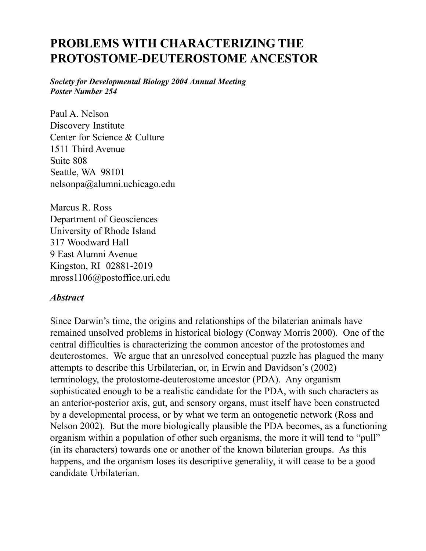# **PROBLEMS WITH CHARACTERIZING THE PROTOSTOME-DEUTEROSTOME ANCESTOR**

*Society for Developmental Biology 2004 Annual Meeting Poster Number 254*

Paul A. Nelson Discovery Institute Center for Science & Culture 1511 Third Avenue Suite 808 Seattle, WA 98101 nelsonpa@alumni.uchicago.edu

Marcus R. Ross Department of Geosciences University of Rhode Island 317 Woodward Hall 9 East Alumni Avenue Kingston, RI 02881-2019 mross1106@postoffice.uri.edu

#### *Abstract*

Since Darwin's time, the origins and relationships of the bilaterian animals have remained unsolved problems in historical biology (Conway Morris 2000). One of the central difficulties is characterizing the common ancestor of the protostomes and deuterostomes. We argue that an unresolved conceptual puzzle has plagued the many attempts to describe this Urbilaterian, or, in Erwin and Davidson's (2002) terminology, the protostome-deuterostome ancestor (PDA). Any organism sophisticated enough to be a realistic candidate for the PDA, with such characters as an anterior-posterior axis, gut, and sensory organs, must itself have been constructed by a developmental process, or by what we term an ontogenetic network (Ross and Nelson 2002). But the more biologically plausible the PDA becomes, as a functioning organism within a population of other such organisms, the more it will tend to "pull" (in its characters) towards one or another of the known bilaterian groups. As this happens, and the organism loses its descriptive generality, it will cease to be a good candidate Urbilaterian.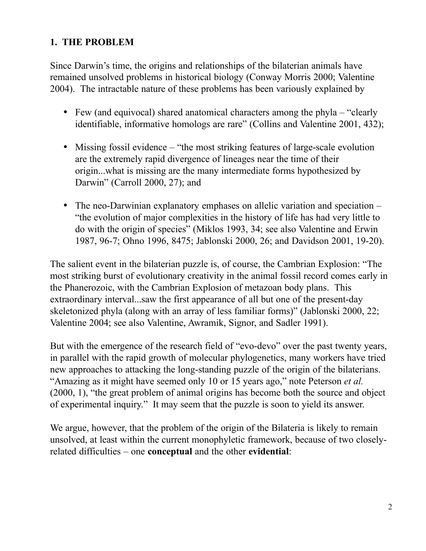#### **1. THE PROBLEM**

Since Darwin's time, the origins and relationships of the bilaterian animals have remained unsolved problems in historical biology (Conway Morris 2000; Valentine 2004). The intractable nature of these problems has been variously explained by

- Few (and equivocal) shared anatomical characters among the phyla "clearly" identifiable, informative homologs are rare" (Collins and Valentine 2001, 432);
- Missing fossil evidence "the most striking features of large-scale evolution are the extremely rapid divergence of lineages near the time of their origin...what is missing are the many intermediate forms hypothesized by Darwin" (Carroll 2000, 27); and
- The neo-Darwinian explanatory emphases on allelic variation and speciation "the evolution of major complexities in the history of life has had very little to do with the origin of species" (Miklos 1993, 34; see also Valentine and Erwin 1987, 96-7; Ohno 1996, 8475; Jablonski 2000, 26; and Davidson 2001, 19-20).

The salient event in the bilaterian puzzle is, of course, the Cambrian Explosion: "The most striking burst of evolutionary creativity in the animal fossil record comes early in the Phanerozoic, with the Cambrian Explosion of metazoan body plans. This extraordinary interval...saw the first appearance of all but one of the present-day skeletonized phyla (along with an array of less familiar forms)" (Jablonski 2000, 22; Valentine 2004; see also Valentine, Awramik, Signor, and Sadler 1991).

But with the emergence of the research field of "evo-devo" over the past twenty years, in parallel with the rapid growth of molecular phylogenetics, many workers have tried new approaches to attacking the long-standing puzzle of the origin of the bilaterians. "Amazing as it might have seemed only 10 or 15 years ago," note Peterson *et al.* (2000, 1), "the great problem of animal origins has become both the source and object of experimental inquiry." It may seem that the puzzle is soon to yield its answer.

We argue, however, that the problem of the origin of the Bilateria is likely to remain unsolved, at least within the current monophyletic framework, because of two closelyrelated difficulties – one **conceptual** and the other **evidential**: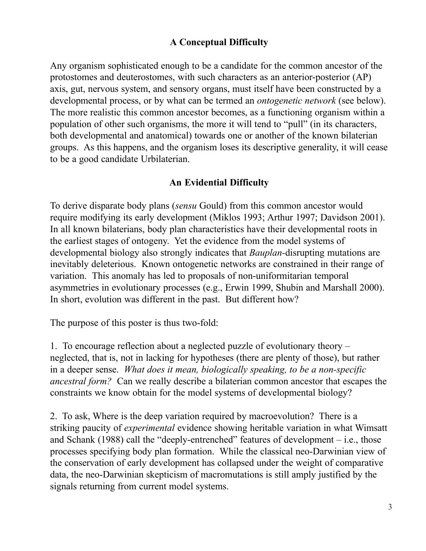## **A Conceptual Difficulty**

Any organism sophisticated enough to be a candidate for the common ancestor of the protostomes and deuterostomes, with such characters as an anterior-posterior (AP) axis, gut, nervous system, and sensory organs, must itself have been constructed by a developmental process, or by what can be termed an *ontogenetic network* (see below). The more realistic this common ancestor becomes, as a functioning organism within a population of other such organisms, the more it will tend to "pull" (in its characters, both developmental and anatomical) towards one or another of the known bilaterian groups. As this happens, and the organism loses its descriptive generality, it will cease to be a good candidate Urbilaterian.

#### **An Evidential Difficulty**

To derive disparate body plans (*sensu* Gould) from this common ancestor would require modifying its early development (Miklos 1993; Arthur 1997; Davidson 2001). In all known bilaterians, body plan characteristics have their developmental roots in the earliest stages of ontogeny. Yet the evidence from the model systems of developmental biology also strongly indicates that *Bauplan-*disrupting mutations are inevitably deleterious. Known ontogenetic networks are constrained in their range of variation. This anomaly has led to proposals of non-uniformitarian temporal asymmetries in evolutionary processes (e.g., Erwin 1999, Shubin and Marshall 2000). In short, evolution was different in the past. But different how?

The purpose of this poster is thus two-fold:

1. To encourage reflection about a neglected puzzle of evolutionary theory – neglected, that is, not in lacking for hypotheses (there are plenty of those), but rather in a deeper sense. *What does it mean, biologically speaking, to be a non-specific ancestral form?* Can we really describe a bilaterian common ancestor that escapes the constraints we know obtain for the model systems of developmental biology?

2. To ask, Where is the deep variation required by macroevolution? There is a striking paucity of *experimental* evidence showing heritable variation in what Wimsatt and Schank (1988) call the "deeply-entrenched" features of development  $-$  i.e., those processes specifying body plan formation. While the classical neo-Darwinian view of the conservation of early development has collapsed under the weight of comparative data, the neo-Darwinian skepticism of macromutations is still amply justified by the signals returning from current model systems.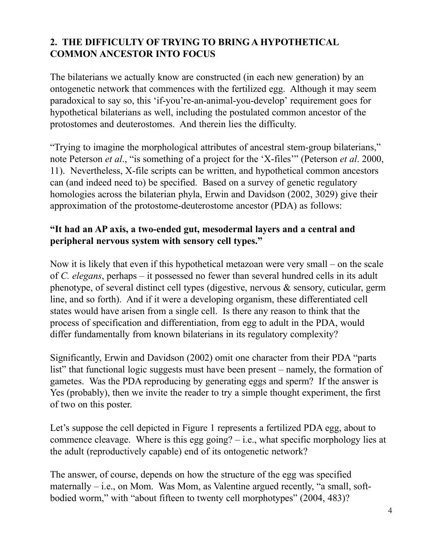## **2. THE DIFFICULTY OF TRYING TO BRING A HYPOTHETICAL COMMON ANCESTOR INTO FOCUS**

The bilaterians we actually know are constructed (in each new generation) by an ontogenetic network that commences with the fertilized egg. Although it may seem paradoxical to say so, this 'if-you're-an-animal-you-develop' requirement goes for hypothetical bilaterians as well, including the postulated common ancestor of the protostomes and deuterostomes. And therein lies the difficulty.

"Trying to imagine the morphological attributes of ancestral stem-group bilaterians," note Peterson *et al*., "is something of a project for the 'X-files'" (Peterson *et al*. 2000, 11). Nevertheless, X-file scripts can be written, and hypothetical common ancestors can (and indeed need to) be specified. Based on a survey of genetic regulatory homologies across the bilaterian phyla, Erwin and Davidson (2002, 3029) give their approximation of the protostome-deuterostome ancestor (PDA) as follows:

## **"It had an AP axis, a two-ended gut, mesodermal layers and a central and peripheral nervous system with sensory cell types."**

Now it is likely that even if this hypothetical metazoan were very small – on the scale of *C. elegans*, perhaps – it possessed no fewer than several hundred cells in its adult phenotype, of several distinct cell types (digestive, nervous & sensory, cuticular, germ line, and so forth). And if it were a developing organism, these differentiated cell states would have arisen from a single cell. Is there any reason to think that the process of specification and differentiation, from egg to adult in the PDA, would differ fundamentally from known bilaterians in its regulatory complexity?

Significantly, Erwin and Davidson (2002) omit one character from their PDA "parts list" that functional logic suggests must have been present – namely, the formation of gametes. Was the PDA reproducing by generating eggs and sperm? If the answer is Yes (probably), then we invite the reader to try a simple thought experiment, the first of two on this poster.

Let's suppose the cell depicted in Figure 1 represents a fertilized PDA egg, about to commence cleavage. Where is this egg going?  $-$  i.e., what specific morphology lies at the adult (reproductively capable) end of its ontogenetic network?

The answer, of course, depends on how the structure of the egg was specified maternally  $-$  i.e., on Mom. Was Mom, as Valentine argued recently, "a small, softbodied worm," with "about fifteen to twenty cell morphotypes" (2004, 483)?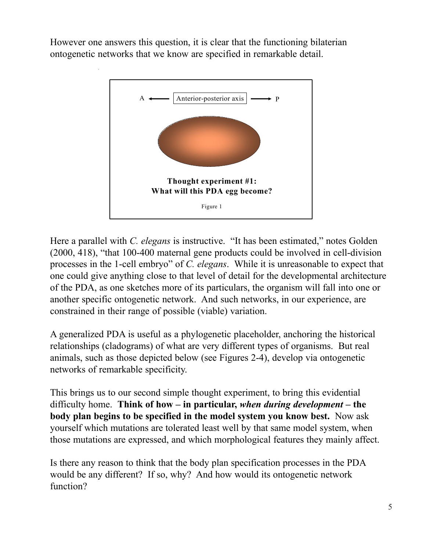However one answers this question, it is clear that the functioning bilaterian ontogenetic networks that we know are specified in remarkable detail.



Here a parallel with *C. elegans* is instructive. "It has been estimated," notes Golden (2000, 418), "that 100-400 maternal gene products could be involved in cell-division processes in the 1-cell embryo" of *C. elegans*. While it is unreasonable to expect that one could give anything close to that level of detail for the developmental architecture of the PDA, as one sketches more of its particulars, the organism will fall into one or another specific ontogenetic network. And such networks, in our experience, are constrained in their range of possible (viable) variation.

A generalized PDA is useful as a phylogenetic placeholder, anchoring the historical relationships (cladograms) of what are very different types of organisms. But real animals, such as those depicted below (see Figures 2-4), develop via ontogenetic networks of remarkable specificity.

This brings us to our second simple thought experiment, to bring this evidential difficulty home. **Think of how – in particular,** *when during development* **– the body plan begins to be specified in the model system you know best.** Now ask yourself which mutations are tolerated least well by that same model system, when those mutations are expressed, and which morphological features they mainly affect.

Is there any reason to think that the body plan specification processes in the PDA would be any different? If so, why? And how would its ontogenetic network function?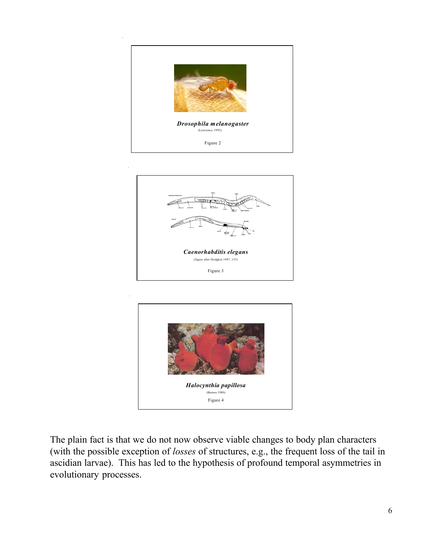





The plain fact is that we do not now observe viable changes to body plan characters (with the possible exception of *losses* of structures, e.g., the frequent loss of the tail in ascidian larvae). This has led to the hypothesis of profound temporal asymmetries in evolutionary processes.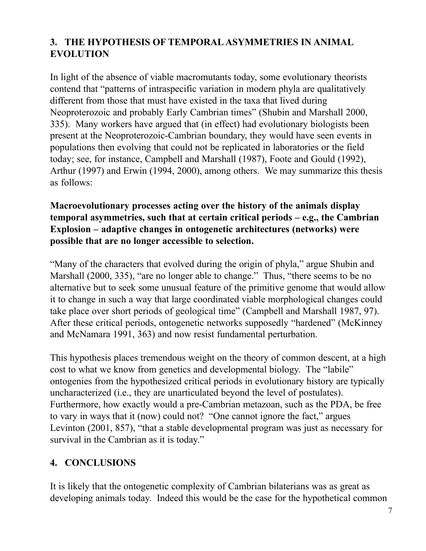## **3. THE HYPOTHESIS OF TEMPORAL ASYMMETRIES IN ANIMAL EVOLUTION**

In light of the absence of viable macromutants today, some evolutionary theorists contend that "patterns of intraspecific variation in modern phyla are qualitatively different from those that must have existed in the taxa that lived during Neoproterozoic and probably Early Cambrian times" (Shubin and Marshall 2000, 335). Many workers have argued that (in effect) had evolutionary biologists been present at the Neoproterozoic-Cambrian boundary, they would have seen events in populations then evolving that could not be replicated in laboratories or the field today; see, for instance, Campbell and Marshall (1987), Foote and Gould (1992), Arthur (1997) and Erwin (1994, 2000), among others. We may summarize this thesis as follows:

#### **Macroevolutionary processes acting over the history of the animals display temporal asymmetries, such that at certain critical periods – e.g., the Cambrian Explosion – adaptive changes in ontogenetic architectures (networks) were possible that are no longer accessible to selection.**

"Many of the characters that evolved during the origin of phyla," argue Shubin and Marshall (2000, 335), "are no longer able to change." Thus, "there seems to be no alternative but to seek some unusual feature of the primitive genome that would allow it to change in such a way that large coordinated viable morphological changes could take place over short periods of geological time" (Campbell and Marshall 1987, 97). After these critical periods, ontogenetic networks supposedly "hardened" (McKinney and McNamara 1991, 363) and now resist fundamental perturbation.

This hypothesis places tremendous weight on the theory of common descent, at a high cost to what we know from genetics and developmental biology. The "labile" ontogenies from the hypothesized critical periods in evolutionary history are typically uncharacterized (i.e., they are unarticulated beyond the level of postulates). Furthermore, how exactly would a pre-Cambrian metazoan, such as the PDA, be free to vary in ways that it (now) could not? "One cannot ignore the fact," argues Levinton (2001, 857), "that a stable developmental program was just as necessary for survival in the Cambrian as it is today."

## **4. CONCLUSIONS**

It is likely that the ontogenetic complexity of Cambrian bilaterians was as great as developing animals today. Indeed this would be the case for the hypothetical common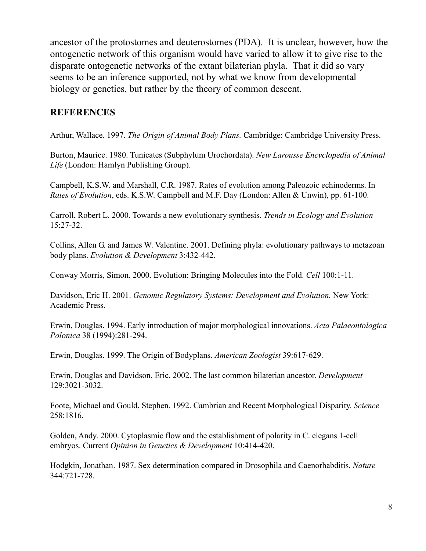ancestor of the protostomes and deuterostomes (PDA). It is unclear, however, how the ontogenetic network of this organism would have varied to allow it to give rise to the disparate ontogenetic networks of the extant bilaterian phyla. That it did so vary seems to be an inference supported, not by what we know from developmental biology or genetics, but rather by the theory of common descent.

#### **REFERENCES**

Arthur, Wallace. 1997. *The Origin of Animal Body Plans.* Cambridge: Cambridge University Press.

Burton, Maurice. 1980. Tunicates (Subphylum Urochordata). *New Larousse Encyclopedia of Animal Life* (London: Hamlyn Publishing Group).

Campbell, K.S.W. and Marshall, C.R. 1987. Rates of evolution among Paleozoic echinoderms. In *Rates of Evolution*, eds. K.S.W. Campbell and M.F. Day (London: Allen & Unwin), pp. 61-100.

Carroll, Robert L. 2000. Towards a new evolutionary synthesis. *Trends in Ecology and Evolution* 15:27-32.

Collins, Allen G. and James W. Valentine. 2001. Defining phyla: evolutionary pathways to metazoan body plans. *Evolution & Development* 3:432-442.

Conway Morris, Simon. 2000. Evolution: Bringing Molecules into the Fold. *Cell* 100:1-11.

Davidson, Eric H. 2001. *Genomic Regulatory Systems: Development and Evolution.* New York: Academic Press.

Erwin, Douglas. 1994. Early introduction of major morphological innovations. *Acta Palaeontologica Polonica* 38 (1994):281-294.

Erwin, Douglas. 1999. The Origin of Bodyplans. *American Zoologist* 39:617-629.

Erwin, Douglas and Davidson, Eric. 2002. The last common bilaterian ancestor. *Development* 129:3021-3032.

Foote, Michael and Gould, Stephen. 1992. Cambrian and Recent Morphological Disparity. *Science* 258:1816.

Golden, Andy. 2000. Cytoplasmic flow and the establishment of polarity in C. elegans 1-cell embryos. Current *Opinion in Genetics & Development* 10:414-420.

Hodgkin, Jonathan. 1987. Sex determination compared in Drosophila and Caenorhabditis. *Nature* 344:721-728.